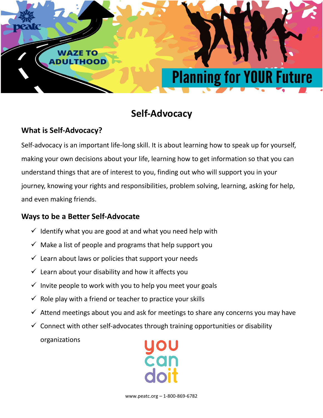

# **Self-Advocacy**

## **What is Self-Advocacy?**

Self-advocacy is an important life-long skill. It is about learning how to speak up for yourself, making your own decisions about your life, learning how to get information so that you can understand things that are of interest to you, finding out who will support you in your journey, knowing your rights and responsibilities, problem solving, learning, asking for help, and even making friends.

### **Ways to be a Better Self-Advocate**

- $\checkmark$  Identify what you are good at and what you need help with
- $\checkmark$  Make a list of people and programs that help support you
- $\checkmark$  Learn about laws or policies that support your needs
- $\checkmark$  Learn about your disability and how it affects you
- $\checkmark$  Invite people to work with you to help you meet your goals
- $\checkmark$  Role play with a friend or teacher to practice your skills
- $\checkmark$  Attend meetings about you and ask for meetings to share any concerns you may have
- $\checkmark$  Connect with other self-advocates through training opportunities or disability

organizations